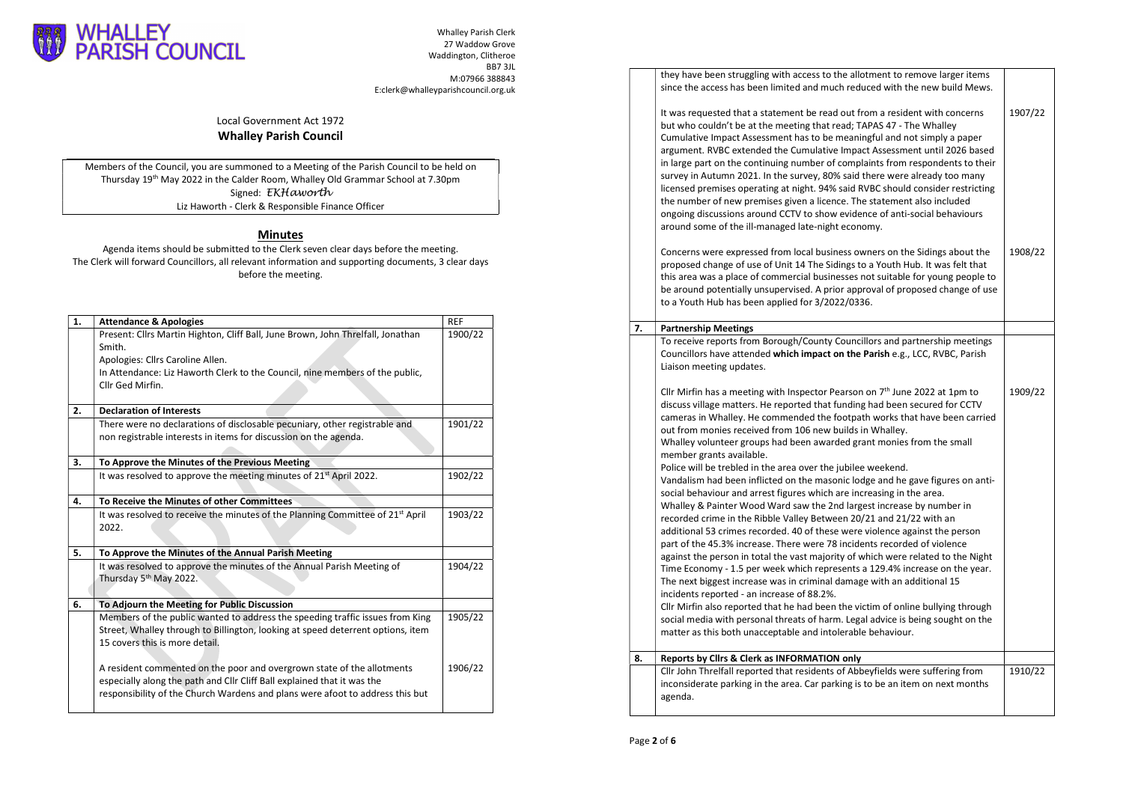

Whalley Parish Clerk 27 Waddow Grove Waddington, Clitheroe BB7 3JL M:07966 388843 E:clerk@whalleyparishcouncil.org.uk

Local Government Act 1972 Whalley Parish Council

Members of the Council, you are summoned to a Meeting of the Parish Council to be held on Thursday 19th May 2022 in the Calder Room, Whalley Old Grammar School at 7.30pm Signed: EKHaworth Liz Haworth - Clerk & Responsible Finance Officer

## Minutes

Agenda items should be submitted to the Clerk seven clear days before the meeting. The Clerk will forward Councillors, all relevant information and supporting documents, 3 clear days before the meeting.

| 1. | <b>Attendance &amp; Apologies</b>                                                                                 | <b>REF</b> |
|----|-------------------------------------------------------------------------------------------------------------------|------------|
|    | Present: Cllrs Martin Highton, Cliff Ball, June Brown, John Threlfall, Jonathan                                   | 1900/22    |
|    | Smith.                                                                                                            |            |
|    | Apologies: Cllrs Caroline Allen.                                                                                  |            |
|    | In Attendance: Liz Haworth Clerk to the Council, nine members of the public,<br>Cllr Ged Mirfin.                  |            |
|    |                                                                                                                   |            |
| 2. | <b>Declaration of Interests</b>                                                                                   |            |
|    | There were no declarations of disclosable pecuniary, other registrable and                                        | 1901/22    |
|    | non registrable interests in items for discussion on the agenda.                                                  |            |
|    |                                                                                                                   |            |
| 3. | To Approve the Minutes of the Previous Meeting                                                                    |            |
|    | It was resolved to approve the meeting minutes of 21 <sup>st</sup> April 2022.                                    | 1902/22    |
| 4. | To Receive the Minutes of other Committees                                                                        |            |
|    |                                                                                                                   |            |
|    | It was resolved to receive the minutes of the Planning Committee of 21 <sup>st</sup> April                        | 1903/22    |
|    | 2022.                                                                                                             |            |
|    |                                                                                                                   |            |
| 5. | To Approve the Minutes of the Annual Parish Meeting                                                               |            |
|    | It was resolved to approve the minutes of the Annual Parish Meeting of                                            | 1904/22    |
|    | Thursday 5 <sup>th</sup> May 2022.                                                                                |            |
|    |                                                                                                                   |            |
| 6. | To Adjourn the Meeting for Public Discussion                                                                      |            |
|    | Members of the public wanted to address the speeding traffic issues from King                                     | 1905/22    |
|    | Street, Whalley through to Billington, looking at speed deterrent options, item<br>15 covers this is more detail. |            |
|    |                                                                                                                   |            |
|    | A resident commented on the poor and overgrown state of the allotments                                            | 1906/22    |
|    | especially along the path and Cllr Cliff Ball explained that it was the                                           |            |
|    | responsibility of the Church Wardens and plans were afoot to address this but                                     |            |

| dington, Clitheroe                              |    |                                                                                                                                                                                                                                                                                                                                                                                                                                                                                                                                                                                                                                                                                                                                                                                |         |
|-------------------------------------------------|----|--------------------------------------------------------------------------------------------------------------------------------------------------------------------------------------------------------------------------------------------------------------------------------------------------------------------------------------------------------------------------------------------------------------------------------------------------------------------------------------------------------------------------------------------------------------------------------------------------------------------------------------------------------------------------------------------------------------------------------------------------------------------------------|---------|
| BB7 3JL<br>M:07966 388843<br>rishcouncil.org.uk |    | they have been struggling with access to the allotment to remove larger items<br>since the access has been limited and much reduced with the new build Mews.                                                                                                                                                                                                                                                                                                                                                                                                                                                                                                                                                                                                                   |         |
| ield on<br>эm                                   |    | It was requested that a statement be read out from a resident with concerns<br>but who couldn't be at the meeting that read; TAPAS 47 - The Whalley<br>Cumulative Impact Assessment has to be meaningful and not simply a paper<br>argument. RVBC extended the Cumulative Impact Assessment until 2026 based<br>in large part on the continuing number of complaints from respondents to their<br>survey in Autumn 2021. In the survey, 80% said there were already too many<br>licensed premises operating at night. 94% said RVBC should consider restricting<br>the number of new premises given a licence. The statement also included<br>ongoing discussions around CCTV to show evidence of anti-social behaviours<br>around some of the ill-managed late-night economy. | 1907/22 |
| ٦g.<br>clear days                               |    | Concerns were expressed from local business owners on the Sidings about the<br>proposed change of use of Unit 14 The Sidings to a Youth Hub. It was felt that<br>this area was a place of commercial businesses not suitable for young people to<br>be around potentially unsupervised. A prior approval of proposed change of use<br>to a Youth Hub has been applied for 3/2022/0336.                                                                                                                                                                                                                                                                                                                                                                                         | 1908/22 |
| REF<br>1900/22                                  | 7. | <b>Partnership Meetings</b>                                                                                                                                                                                                                                                                                                                                                                                                                                                                                                                                                                                                                                                                                                                                                    |         |
|                                                 |    | To receive reports from Borough/County Councillors and partnership meetings<br>Councillors have attended which impact on the Parish e.g., LCC, RVBC, Parish<br>Liaison meeting updates.                                                                                                                                                                                                                                                                                                                                                                                                                                                                                                                                                                                        |         |
| 1901/22                                         |    | Cllr Mirfin has a meeting with Inspector Pearson on $7th$ June 2022 at 1pm to<br>discuss village matters. He reported that funding had been secured for CCTV<br>cameras in Whalley. He commended the footpath works that have been carried<br>out from monies received from 106 new builds in Whalley.<br>Whalley volunteer groups had been awarded grant monies from the small<br>member grants available.                                                                                                                                                                                                                                                                                                                                                                    | 1909/22 |
| 1902/22                                         |    | Police will be trebled in the area over the jubilee weekend.<br>Vandalism had been inflicted on the masonic lodge and he gave figures on anti-<br>social behaviour and arrest figures which are increasing in the area.                                                                                                                                                                                                                                                                                                                                                                                                                                                                                                                                                        |         |
| 1903/22                                         |    | Whalley & Painter Wood Ward saw the 2nd largest increase by number in<br>recorded crime in the Ribble Valley Between 20/21 and 21/22 with an<br>additional 53 crimes recorded. 40 of these were violence against the person<br>part of the 45.3% increase. There were 78 incidents recorded of violence                                                                                                                                                                                                                                                                                                                                                                                                                                                                        |         |
| 1904/22                                         |    | against the person in total the vast majority of which were related to the Night<br>Time Economy - 1.5 per week which represents a 129.4% increase on the year.<br>The next biggest increase was in criminal damage with an additional 15<br>incidents reported - an increase of 88.2%.                                                                                                                                                                                                                                                                                                                                                                                                                                                                                        |         |
| 1905/22                                         |    | Cllr Mirfin also reported that he had been the victim of online bullying through<br>social media with personal threats of harm. Legal advice is being sought on the<br>matter as this both unacceptable and intolerable behaviour.                                                                                                                                                                                                                                                                                                                                                                                                                                                                                                                                             |         |
|                                                 | 8. | Reports by Clirs & Clerk as INFORMATION only                                                                                                                                                                                                                                                                                                                                                                                                                                                                                                                                                                                                                                                                                                                                   |         |
| 1906/22                                         |    | Cllr John Threlfall reported that residents of Abbeyfields were suffering from<br>inconsiderate parking in the area. Car parking is to be an item on next months<br>agenda.                                                                                                                                                                                                                                                                                                                                                                                                                                                                                                                                                                                                    | 1910/22 |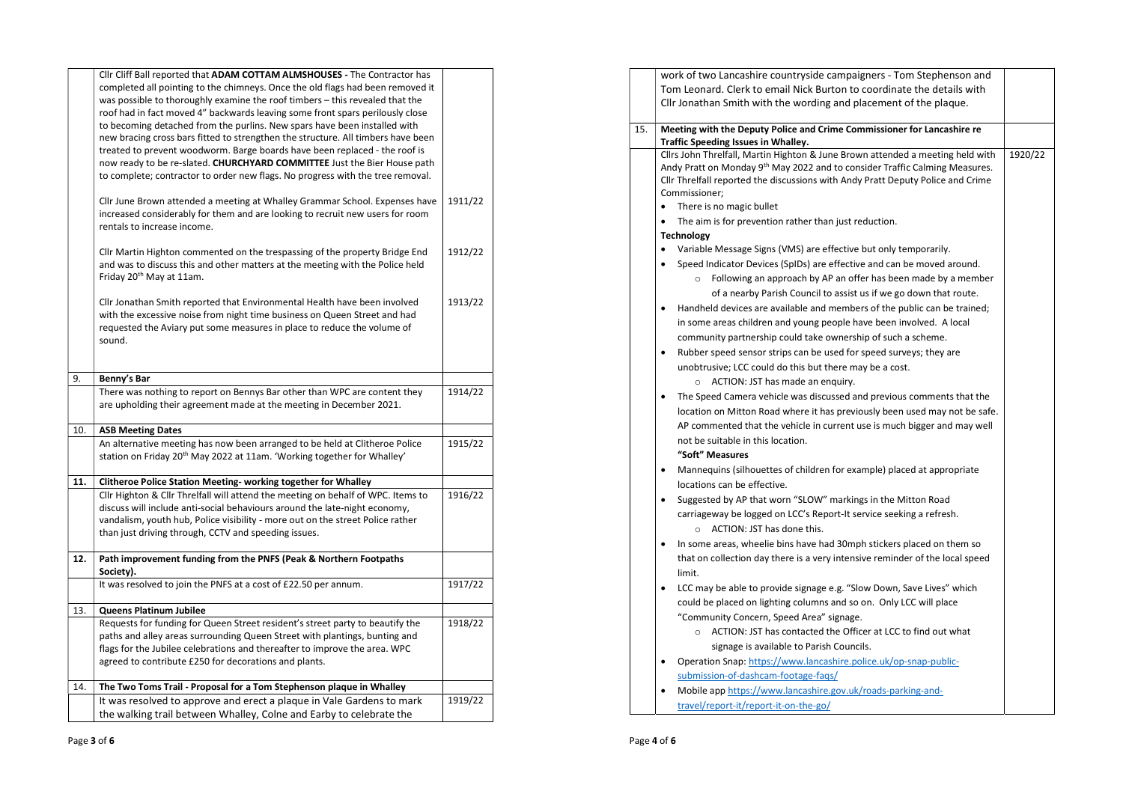|     | Cllr Cliff Ball reported that ADAM COTTAM ALMSHOUSES - The Contractor has<br>completed all pointing to the chimneys. Once the old flags had been removed it<br>was possible to thoroughly examine the roof timbers - this revealed that the<br>roof had in fact moved 4" backwards leaving some front spars perilously close<br>to becoming detached from the purlins. New spars have been installed with<br>new bracing cross bars fitted to strengthen the structure. All timbers have been<br>treated to prevent woodworm. Barge boards have been replaced - the roof is<br>now ready to be re-slated. CHURCHYARD COMMITTEE Just the Bier House path<br>to complete; contractor to order new flags. No progress with the tree removal. |         |
|-----|-------------------------------------------------------------------------------------------------------------------------------------------------------------------------------------------------------------------------------------------------------------------------------------------------------------------------------------------------------------------------------------------------------------------------------------------------------------------------------------------------------------------------------------------------------------------------------------------------------------------------------------------------------------------------------------------------------------------------------------------|---------|
|     | Cllr June Brown attended a meeting at Whalley Grammar School. Expenses have<br>increased considerably for them and are looking to recruit new users for room<br>rentals to increase income.                                                                                                                                                                                                                                                                                                                                                                                                                                                                                                                                               | 1911/22 |
|     | Cllr Martin Highton commented on the trespassing of the property Bridge End<br>and was to discuss this and other matters at the meeting with the Police held<br>Friday 20 <sup>th</sup> May at 11am.                                                                                                                                                                                                                                                                                                                                                                                                                                                                                                                                      | 1912/22 |
|     | Cllr Jonathan Smith reported that Environmental Health have been involved<br>with the excessive noise from night time business on Queen Street and had<br>requested the Aviary put some measures in place to reduce the volume of<br>sound.                                                                                                                                                                                                                                                                                                                                                                                                                                                                                               | 1913/22 |
| 9.  | Benny's Bar                                                                                                                                                                                                                                                                                                                                                                                                                                                                                                                                                                                                                                                                                                                               |         |
|     | There was nothing to report on Bennys Bar other than WPC are content they<br>are upholding their agreement made at the meeting in December 2021.                                                                                                                                                                                                                                                                                                                                                                                                                                                                                                                                                                                          | 1914/22 |
| 10. | <b>ASB Meeting Dates</b>                                                                                                                                                                                                                                                                                                                                                                                                                                                                                                                                                                                                                                                                                                                  |         |
|     | An alternative meeting has now been arranged to be held at Clitheroe Police<br>station on Friday 20 <sup>th</sup> May 2022 at 11am. 'Working together for Whalley'                                                                                                                                                                                                                                                                                                                                                                                                                                                                                                                                                                        | 1915/22 |
| 11. | Clitheroe Police Station Meeting-working together for Whalley                                                                                                                                                                                                                                                                                                                                                                                                                                                                                                                                                                                                                                                                             |         |
|     | Cllr Highton & Cllr Threlfall will attend the meeting on behalf of WPC. Items to<br>discuss will include anti-social behaviours around the late-night economy,<br>vandalism, youth hub, Police visibility - more out on the street Police rather<br>than just driving through, CCTV and speeding issues.                                                                                                                                                                                                                                                                                                                                                                                                                                  | 1916/22 |
| 12. | Path improvement funding from the PNFS (Peak & Northern Footpaths<br>Society).                                                                                                                                                                                                                                                                                                                                                                                                                                                                                                                                                                                                                                                            |         |
|     | It was resolved to join the PNFS at a cost of £22.50 per annum.                                                                                                                                                                                                                                                                                                                                                                                                                                                                                                                                                                                                                                                                           | 1917/22 |
| 13. | Queens Platinum Jubilee                                                                                                                                                                                                                                                                                                                                                                                                                                                                                                                                                                                                                                                                                                                   |         |
|     | Requests for funding for Queen Street resident's street party to beautify the<br>paths and alley areas surrounding Queen Street with plantings, bunting and<br>flags for the Jubilee celebrations and thereafter to improve the area. WPC<br>agreed to contribute £250 for decorations and plants.                                                                                                                                                                                                                                                                                                                                                                                                                                        | 1918/22 |
| 14. | The Two Toms Trail - Proposal for a Tom Stephenson plaque in Whalley                                                                                                                                                                                                                                                                                                                                                                                                                                                                                                                                                                                                                                                                      |         |
|     | It was resolved to approve and erect a plaque in Vale Gardens to mark<br>the walking trail between Whalley, Colne and Earby to celebrate the                                                                                                                                                                                                                                                                                                                                                                                                                                                                                                                                                                                              | 1919/22 |

|     | work of two Lancashire countryside campaigners - Tom Stephenson and                                                   |         |
|-----|-----------------------------------------------------------------------------------------------------------------------|---------|
|     | Tom Leonard. Clerk to email Nick Burton to coordinate the details with                                                |         |
|     | Cllr Jonathan Smith with the wording and placement of the plaque.                                                     |         |
|     |                                                                                                                       |         |
| 15. | Meeting with the Deputy Police and Crime Commissioner for Lancashire re                                               |         |
|     | Traffic Speeding Issues in Whalley.<br>Cllrs John Threlfall, Martin Highton & June Brown attended a meeting held with | 1920/22 |
|     | Andy Pratt on Monday 9 <sup>th</sup> May 2022 and to consider Traffic Calming Measures.                               |         |
|     | Cllr Threlfall reported the discussions with Andy Pratt Deputy Police and Crime                                       |         |
|     | Commissioner;                                                                                                         |         |
|     | There is no magic bullet<br>$\bullet$                                                                                 |         |
|     | The aim is for prevention rather than just reduction.                                                                 |         |
|     | Technology                                                                                                            |         |
|     | Variable Message Signs (VMS) are effective but only temporarily.<br>٠                                                 |         |
|     | Speed Indicator Devices (SpIDs) are effective and can be moved around.<br>$\bullet$                                   |         |
|     | Following an approach by AP an offer has been made by a member<br>$\circ$                                             |         |
|     | of a nearby Parish Council to assist us if we go down that route.                                                     |         |
|     | Handheld devices are available and members of the public can be trained;<br>$\bullet$                                 |         |
|     | in some areas children and young people have been involved. A local                                                   |         |
|     | community partnership could take ownership of such a scheme.                                                          |         |
|     | Rubber speed sensor strips can be used for speed surveys; they are<br>$\bullet$                                       |         |
|     | unobtrusive; LCC could do this but there may be a cost.                                                               |         |
|     | ACTION: JST has made an enquiry.<br>$\circ$                                                                           |         |
|     | The Speed Camera vehicle was discussed and previous comments that the<br>٠                                            |         |
|     | location on Mitton Road where it has previously been used may not be safe.                                            |         |
|     | AP commented that the vehicle in current use is much bigger and may well                                              |         |
|     | not be suitable in this location.                                                                                     |         |
|     | "Soft" Measures                                                                                                       |         |
|     | Mannequins (silhouettes of children for example) placed at appropriate<br>٠                                           |         |
|     | locations can be effective.                                                                                           |         |
|     | Suggested by AP that worn "SLOW" markings in the Mitton Road<br>٠                                                     |         |
|     | carriageway be logged on LCC's Report-It service seeking a refresh.                                                   |         |
|     | ACTION: JST has done this.<br>$\circ$                                                                                 |         |
|     | In some areas, wheelie bins have had 30mph stickers placed on them so<br>٠                                            |         |
|     | that on collection day there is a very intensive reminder of the local speed                                          |         |
|     | limit.                                                                                                                |         |
|     | LCC may be able to provide signage e.g. "Slow Down, Save Lives" which<br>٠                                            |         |
|     | could be placed on lighting columns and so on. Only LCC will place                                                    |         |
|     | "Community Concern, Speed Area" signage.                                                                              |         |
|     | ACTION: JST has contacted the Officer at LCC to find out what<br>$\circ$                                              |         |
|     | signage is available to Parish Councils.                                                                              |         |
|     | Operation Snap: https://www.lancashire.police.uk/op-snap-public-<br>٠                                                 |         |
|     | submission-of-dashcam-footage-faqs/                                                                                   |         |
|     | Mobile app https://www.lancashire.gov.uk/roads-parking-and-                                                           |         |
|     | travel/report-it/report-it-on-the-go/                                                                                 |         |